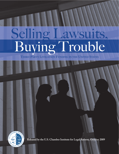# Selling Lawsuits, Buying Trouble

**THIRD-PARTY LITIGATION FUNDING IN THE UNITED STATES**



**Released by the U.S. Chamber Institute for Legal Reform, October 2009**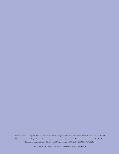All rights reserved. This publication, or part thereof, may not be reproduced in any form without the written permission of the U.S. Chamber Institute for Legal Reform. Forward requests for permission to reprint to: Reprint Permission Office, U.S. Chamber Institute for Legal Reform, 1615 H Street, N.W., Washington, D.C. 20062-2000 (202-463-5724).

© U.S. Chamber Institute for Legal Reform, October 2009. All rights reserved.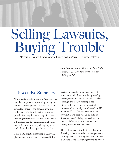## Selling Lawsuits, ig Trouble

**THIRD-PARTY LITIGATION FUNDING IN THE UNITED STATES**

*— John Beisner, Jessica Miller & Gary Rubin Skadden, Arps, Slate, Meagher & Flom LLP Washington, DC*

## I. Executive Summary

"Third-party litigation financing" is a term that describes the practice of providing money to a party to pursue a potential or filed lawsuit in return for a share of any damages award or settlement. Litigation-financing companies provide financing for myriad litigation costs, including attorneys' fees, court fees, and expertwitness fees. Funding arrangements also may involve financing the party's living expenses while the trial and any appeals are pending.

Third-party litigation financing is a growing phenomenon in the United States, and it has

received much attention of late from both proponents and critics, including practicing lawyers, academics, jurists, and policy-makers. Although third-party funding is not widespread, it is playing an increasingly visible—and potentially harmful—role in U.S. litigation. If such funding becomes more prevalent, it will pose substantial risks of litigation abuse. This is particularly true in the context of class or mass actions, which are already very vulnerable to abuses.

The root problem with third-party litigation financing is that it introduces a stranger to the attorney-client relationship whose sole interest is a financial one. The stranger wants to protect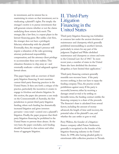its investment, and its interest lies in maximizing its return on that investment, not in vindicating a plaintiff 's rights. Put simply: the stranger's motive is to pursue investments that will generate returns whether or not the claims underlying those returns lack merit. The stranger, like a law firm, is a repeat player in the lawsuit-financing game. But unlike a law firm, the stranger does not have a privileged, fiduciary relationship with the plaintiff. Eventually, then, the stranger's presence will require a relaxation of the rules governing attorney professional responsibility, compensation, and the attorney-client privilege to accommodate these new realities. This relaxation threatens to chip away at—and eventually eradicate—critical safeguards against lawsuit abuse.

This paper begins with an overview of thirdparty litigation financing. It next examines current third-party financing practices in the United States. It then sets forth a critique of the practice, particularly the incentives it creates to engage in frivolous and abusive litigation. In this section, the paper also presents a case study on the Commonwealth of Australia, the first jurisdiction to permit third-party litigation funding, where such funding has dramatically increased litigation and given investors pervasive—even total—control over a plaintiff 's litigation. Finally, the paper proposes that thirdparty litigation financing be prohibited in the United States to prevent these abuses. At the very least, the paper concludes, such funding should be banned in class actions and other forms of aggregate litigation.

### II. Third-Party **Litigation** Financing in the United States

Third-party litigation financing was forbidden at common law under the ancient doctrines of maintenance and champerty, which generally prohibited intermeddling in another's lawsuit, particularly in return for any part of the judgment. England and Wales abolished maintenance and champerty as crimes and torts in the Criminal Law Act of  $1967<sup>1</sup>$  In more recent years, a number of states in the United States also have abolished the doctrines altogether, or have limited their application.<sup>2</sup>

Third-party financing contracts generally resemble non-recourse loans: if the party recovers nothing, it does not have to repay the funding company.Thus, the practice avoids prohibitions against usury. If the party is successful, however, either by receiving a damages award at trial or by settling on favorable terms, the funding contract entitles the financing company to a share of the proceeds. The financier's share is calculated from several factors, including the amount of money advanced, the length of time until recovery, the potential value of the plaintiff 's case, and whether the case settles or goes to trial.

Perry Walton, the founder of a litigationfinance company called Future Settlement, generally is recognized as the founder of the litigation-financing industry in the United States. In 1998, after having pleaded guilty to extortionate debt-collection practices in Nevada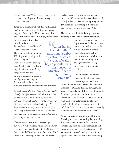the previous year, Walton began popularizing the concept of litigation finance through training seminars.

Since then, a number of well-known financial institutions have begun offering third-party litigation financing for U.S. cases (many had previously funded cases in Europe). Some of the

bigger names in the industry include Allianz ProzessFinanz (an affiliate of German insurer Allianz), Harbour Litigation Funding, IM Litigation Funding, and Juridica Capital Management. Swiss banking giant Credit Suisse also has a litigation-finance unit. Many hedge funds also are investing actively, but quietly, in litigation financing. John Jones, a technical director at

Aon, has described the phenomenon this way:

*In a typical case[,] a hedge fund, acting on behalf of already wealthy investors, will seek to accumulate yet more money—not by investing in business enterprise or wealth creation—but by gambling on the outcome of a legal action for damages. They have no interest in the justice or otherwise of the case—only in the chances of success—as they will demand a share of the damages awarded in return for putting up the stake money.*<sup>3</sup>

These financial institutions have enjoyed favorable results. Juridica, which invests only in commercial cases and mainly in the United States, raised £74 million in its December 2007 initial public offering on the London Stock

Exchange's small companies market and another  $\text{\pounds}33.2$  million with a second offering in 2009. Juridica has seen its share price grow by 24% since it began trading in London and enjoys annual returns in excess of 20%.

The recent growth of third-party litigation financing in the United States results from a

number of factors, including rising litigation costs, the lack of capital in the traditional lending market to fund litigation (which is inherently speculative), and professional-responsibility rules that prohibit attorneys from paying their client's living expenses while litigation is pending.4 …after having pleaded guilty to extortionate debtcollection practices in Nevada…Walton began popularizing the concept of litigation finance

> Notably, despite strict rules governing the attorney-client relationship, state courts in the

United States generally have had a hands-off approach to litigation-funding arrangements, leaving the regulation of third-party funding to the state legislatures. <sup>5</sup> Several state bar associations have determined that third-party funding is acceptable where the attorney explains the funding transaction to the client, and the risks and conflicts of interest created by the transaction are disclosed to the client.<sup>6</sup>

At least two states have addressed litigation financing and have enacted legislation setting forth specific requirements for contracts between litigation-financing companies and consumers. Maine enacted legislation in 2007 requiring litigation-financing companies to register with state authorities and mandating

through training

seminars.

COLORED PEAC<br>
STRACT PROPERTY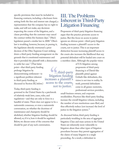specific provisions that must be included in financing contracts, including a disclosure form setting forth the fees and interest rate charged, a representation that the company has no right to make, and will not make, any decisions respecting the course of the litigation, and a clause providing that the customer may cancel the contract within five business days.<sup>7</sup> Ohio's legislature passed a similar law in 2008.<sup>8</sup> Ohio's law is troubling, however, because, in passing it, the legislature directly overturned a prior decision of the Ohio Supreme Court striking down a third-party funding arrangement on the grounds that it constituted maintenance and that it provided the plaintiff with a disincentive

to settle her case. <sup>9</sup> (That latter point—that third-party funding prolongs litigation by disincentivizing settlement—is a significant problem inherent in third-party funding, as discussed in Section III, below.)

Today, third-party funding is

governed in the United States by a patchwork of relatively weak laws, cases, rules, and regulations—and they are only in force in a handful of states. There does not appear to be a nationwide consensus, or even a nationwide conversation, on whether the doctrines of maintenance and champerty should be abolished, whether litigation funding should be allowed, or, if it is, how it should be regulated. Below, we discuss some of the concerns that should be part of any such conversation.

## III. The Problems Inherent in Third-Party Litigation Financing

Proponents of third-party litigation financing argue that the practice promotes access to justice. But this focus on access to justice ignores an obvious point—third-party litigation funding increases a plaintiff 's access to the courts, not to justice. This is an important distinction because increasing plaintiff access to the courts also increases the likelihood that any potential defendant will be hauled into court on a meritless claim. Although the popular vision

<sup>1</sup> …third-party litigation funding increases a plaintiff' s access to the courts, not to justice.'

of U.S. litigation among proponents of third-party financing is of David-like plaintiffs pitted against Goliath-like defendants, this vision is not true to reality. In truth, potential defendants come in all guises: motorists, professional-services providers,

small-business owners, and corporate stockholders. Practices like third-party funding increase the overall litigation volume, including the number of non-meritorious cases filed, and thus effectively reduce (not increase) the level of justice in the litigation system. $10$ 

As discussed below, third-party funding is particularly troubling in the area of aggregate litigation. Class and mass actions in the United States are inherently more vulnerable to litigation abuse than other types of litigation procedures because they permit aggregation of the claims of many litigants in a single proceeding. As a result, a defendant in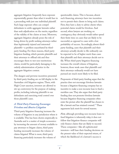aggregate litigation frequently faces exposure exponentially greater than what it would face in a proceeding with just one individual plaintiff. Such large exposure often can compel defendants to settle aggregate lawsuits rather than seek adjudication on the merits, regardless of the validity of the claims at issue. Moreover, aggregate litigation already poses the risk of being driven by profit-seeking attorneys rather than legitimately injured and interested plaintiffs—a problem exacerbated by thirdparty funding. For these reasons, third-party litigation funding, which permits plaintiffs and their attorneys to offload risk and thus encourages them to test non-meritorious claims, would be particularly damaging to the orderly administration of justice in the aggregate-litigation context.

The dangers and perverse incentives presented by third-party funding are on full display in the Australian civil litigation regime. There, with High Court sanction, investors are allowed to stir up controversy for the purpose of making profits, including inducing plaintiffs to sue defendants and exercising total control over those plaintiffs' cases.

#### *A. Third-Party Financing Encourages Frivolous and Abusive Litigation*

Third-party litigation financing increases the volume of litigation in any jurisdiction where it is available. This has been shown empirically in Australia and is a matter of simple economics: by increasing the amount of money available to pay attorneys to litigate claims, third-party funding necessarily increases the volume of claims litigated.What is more, third-party financing particularly increases the volume of

questionable claims. This is because, absent such financing, attorneys have two incentives not to permit their clients to bring such claims. First, they have a duty to advise clients when potential claims would be frivolous. And second, when lawyers are working on contingency, they obviously would rather spend their finite time on cases that are likely to be successful, as opposed to cases with a low probability of success. Accordingly, absent thirdparty funding, cases that plaintiffs and their attorneys actually decide to file ordinarily can be expected to be of higher merit than cases that plaintiffs and their attorneys decide not to file. When third-party litigation financing increases the overall volume of litigation, however, those weak cases that plaintiffs and their attorneys ordinarily would not have pursued are much more likely to be filed.

Proponents of third-party funding argue that the practice does not encourage frivolous lawsuits because a litigation-financing company has no incentive to make a non-recourse loan to fund a meritless case.They also argue that third-party funding does not promote frivolous lawsuits because litigation-financing companies often enter the picture after the plaintiff has chosen to file a lawsuit and has retained counsel.<sup>12</sup> These arguments lack merit for several reasons.

*First,* although providing non-recourse loans to fund litigation is inherently risky, it does not follow that litigation-finance companies will only finance claims that are likely to succeed. These companies—like all sophisticated investors—will base their funding decisions on the present value of their expected return, of which the likelihood of a lawsuit's success is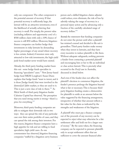only one component. The other component is the potential amount of recovery. If that potential recovery is sufficiently large, the lawsuit will be an attractive investment, even if the likelihood of actually achieving that recovery is small. Put simply, the present value (excluding inflation and opportunity cost) of a \$500 million claim with only a 10% chance of success is still \$50 million. Moreover, litigationfinance companies can further hedge their investments in risky lawsuits by demanding higher percentages of any award where recovery is less certain. Indeed, if investors were only attracted to low-risk investments, the high-yield junk-bond market never would have existed.

Already, the third-party funding market bears this out: some hedge funds specialize in financing "speculative" cases.13 New Jersey-based hedge fund MKM Longboat's Susan Dunn explains that hedge funds "want to invest, and it is those [hedge funds] that were involved in the distress[ed-]debt market, so they are used to it. This is just a new class of risk to them."<sup>14</sup> As Mick Smith of third-party litigation funder Calunius Capital has observed, "the perception that you need strong merits is wrong—there's a price for everything."15

Moreover, third-party funding companies are able to mitigate their downside risk in two ways: they can spread the risk of any particular case over their entire portfolio of cases, and they can spread the risk among their investors. For this reason, litigation-finance companies have a high appetite for risk and are willing to fund speculative, high-yield cases. As one commentator has observed, litigation financing companies "staffed by a litigation savvy business

person and a skilled litigation claims adjuster could reduce, even eliminate, the risk of loss by adroitly valuing the range of recovery in a personal injury action and by advancing only a fraction of the carefully calculated range of recovery dollars."16

*Second,* the statement that funding companies do not enter the picture until after a plaintiff has retained counsel and decided to file suit is groundless. Third-party funders make money when they invest in lawsuits, and they have every incentive to induce plaintiffs to file them. Without adequate safeguards, nothing prevents a funder from contacting a potential plaintiff and encouraging him or her to file an individual or class action lawsuit. This is precisely what occurred in the *Fostif* case in Australia, discussed in detail below.

And even if the funder does not affect the plaintiff 's decision to commence litigation, the funder's presence prolongs the litigation beyond what is fair or necessary. This is because thirdparty litigation funding creates a disincentive for plaintiffs to settle at an amount below the value suggested by the financing arrangement, irrespective of whether that amount reflects a fair value for the claim as indicated by the strengths and weaknesses of the litigation.

A plaintiff who must pay a finance company out of the proceeds of any recovery can be expected to reject what may otherwise be a fair settlement offer and hold out for a larger sum of money.<sup>17</sup> By the same token, the financing company can be expected to pressure plaintiffs only to accept settlement offers that are sufficient to cover the amount financed after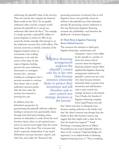subtracting the plaintiff's share of the recovery. Thus, the amount the company has financed likely would set the "floor" for acceptable settlement offers, and the company would pressure the plaintiff not to accept any settlement offer below the floor.<sup>18</sup> For example, if a funder provides a plaintiff \$1 million to pursue litigation in return for 50% of any award, the funder naturally will attempt to set the settlement-recovery floor at \$2 million. This amount, moreover, is entirely a function of the

litigation funder's return on investment; it has nothing whatsoever to do with the merits of the claim. In this respect, litigation funding presents the same settlement disincentive as contingent attorney fees: attorneys working on contingency have a perverse incentive to convince their clients only to accept settlement amounts greater than the time-value the attorney has invested in pursuing the case.

In addition, from the defendant's perspective, by

guaranteeing that plaintiffs will have sufficient funding to prosecute even questionable claims through trial, third-party funding creates pressure on defendants to settle all but the most frivolous claims, often on sub-optimal terms, and at an amount much higher than the meritsbased value of the claim. This is because trial itself is expensive, independent of any award. Defendants must pay attorneys', experts', and other fees, and, under the "American" rule

litigs.<br>pl<br>over …litigation-financing arrangements undercut the plaintiff 's control over his or her own claim because investors inherently desire to protect their investment and will therefore seek to exert control over strategic decisions in the lawsuit."

governing assessment of attorneys' fees in civil litigation, those costs generally cannot be shifted to the plaintiff even if the defendant prevails. By promoting coercive settlement in this way, third-party litigation financing increases the profitability—and therefore the likelihood—of abusive litigation.

#### *B. Third-Party Litigation Financing Raises Ethical Concerns*

The common-law obstacles to third-party litigation financing—maintenance and

> champerty—seem to have fallen by the wayside in a number of states, but serious ethical concerns about the litigationfinancing industry remain. Most significantly, litigation-financing arrangements undercut the plaintiff 's control over his or her own claim because investors inherently desire to protect their investment and will therefore seek to exert control over strategic decisions in the lawsuit. Gary Chodes, the founder of litigation-financing company Oasis Legal Finance, has said

that "clients may have to relinquish some decision-making authority to the funder" and that "the client's interests may diverge from the funder in that other business reasons may suggest that they might settle a claim for less than the funder has targeted."<sup>19</sup> Arndt Eversberg, a managing director of Allianz ProzessFinanz, has touted plaintiffs' ability to draw on the company's "legal knowledge and experience" as an added benefit of obtaining litigation financing from it. $^{20}$  This is troubling

*7*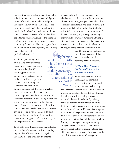because it reduces a justice system designed to adjudicate cases on their merits to a litigation system effectively controlled by third parties interested solely in profit. And, it places the power to make strategic decisions about the case in the hands of the funder, whose duties are to its investors, instead of in the hands of the attorney, whose duties are to the client. In addition, to the extent an attorney permits a third-party financier to "direct or regulate" the attorney's "professional judgment," the attorney may violate rules of professional conduct.<sup>21</sup>

In addition, obtaining funds from a third party to finance a case may also create conflicts of interest for the plaintiff 's attorney, particularly the attorney's duty of loyalty owed to the client. This is especially true where the attorney has contracted directly with the

funding company and thus has contractual duties to it that are independent of the attorney's professional duties to the plaintiff.<sup>22</sup> Moreover, because both third-party funders and attorneys are repeat players in the litigation market, it can be expected that relationships among them will develop over time. Attorneys can be expected to "steer" clients to favored financing firms, even if the client's particular circumstances suggest a different firm may be more appropriate, and *vice versa*.

Finally, litigation-financing arrangements also raise confidentiality concerns insofar as they require plaintiffs to disclose privileged information to the financier. In order to

B<br>
dd-be<br>
ft the<br>
ling en By helping would-be plaintiffs shift their costs to others, third-party funding encourages plaintiffs'attorneys to test claims of questionable merit…"

evaluate a plaintiff 's claim and determine whether and on what terms to finance the case, a litigation financing company generally will ask to evaluate confidential, and possibly privileged, information belonging to the plaintiff. If the plaintiff elects to provide the information to the financing company, any privilege protecting it likely would be waived.<sup>23</sup> Attorneys advising a client at the outset of a case may be reluctant to provide the client full and candid advice in writing, knowing that any communications

> could be viewed by the funder as part of its diligence, and then would be available to the opposing party in discovery.

#### *C. Third-Party Financing in Class and Mass Actions: A Recipe for Abuse*

Third-party financing is most troubling in the context of aggregate litigation—class and mass actions—which already

poses substantial risks of abuse.This is so because, in aggregate litigation, the plaintiffs can threaten the defendant with staggering exposure on potentially thousands of claims. By helping would-be plaintiffs shift their costs to others, third-party funding encourages plaintiffs'attorneys to test claims of questionable merit, knowing that the enormity of the potential risk will often force defendants to settle class and mass actions on suboptimal terms rather than roll the dice at trial. In this respect, contingent third-party funding arrangements are even *more* likely to invite frivolous litigation than contingent attorney fees, which bear a significant share of the blame for the United States's out-of-control tort system.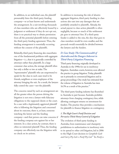In addition, in an individual case, the plaintiff presumably hires the third-party funding company—or at least knows and understands the arrangement. In a suit involving thousands of class members who are effectively bound by a judgment or settlement if they do not opt out, there is no practical way to obtain permission from all the potential plaintiffs before entering the third-party funding agreement. Thus, the funding arrangement is essentially occurring without the consent of the plaintiffs.

Relatedly, third-party financing also exacerbates one of the fundamental problems with aggregate litigation—*i.e.*, that it is generally controlled by attorneys rather than plaintiffs. In a large consumer class action, the average plaintiff often has only a dollar or two at stake.The "representative" plaintiffs who are empowered to speak for the class in such cases tend to be friends, neighbors or even employees of the attorney bringing the suit. As a result, the lawyers fully control the cases—not the plaintiffs.

The concerns raised by such an arrangement are all the greater when the person driving the litigation is not even a lawyer with fiduciary obligations to the supposed clients or the court. In a case with a legitimately aggrieved plaintiff who is following the litigation and concerned about its outcome, there is, at least, someone watching the lawyer and the funding company—and that person can raise concerns if the funding company acts against his or her interests. In a class action, by contrast, there is often no interested plaintiff. Thus, the funding company can effectively run the litigation with no check on its actions.

In addition to increasing the risk of abusive aggregate litigation, third-party funding in class actions also eats into any damages that are justifiably awarded to plaintiffs. Already, the actual payout to class action plaintiffs is often negligible, because so much of the settlement pie goes to attorneys' fees. If a third-party funder is added to the mix, the slice that goes to class members would be even smaller, and the proceeds would essentially be divided between the lawyers and the funders.

#### *D. Case Study: The Commonwealth of Australia and the Dangers Inherent in Third-Party Litigation Financing*

Third-party financing originally developed in Australia in the 1990s for use in insolvency litigation. Australian courts, however, soon allowed the practice in group litigation.Today, plaintiffs use it primarily in commercial litigation and in group proceedings. One study has estimated that the volume of litigation in Australia has risen 16.5% as a result of the practice.<sup>24</sup>

The third-party funding industry has flourished in Australia in part because Australia prohibits attorneys from charging contingency fees, while allowing contingent returns on investment for funders.The practice thus provides a mechanism for plaintiffs to finance litigation on contingency.

#### *1. The High Court's Fostif Decision and Pervasive Third-Party Control of Litigation*

The evolution of third-party funding in Australia, from maintenance and champerty prohibitions to authorization in insolvency suits to its spread to other civil litigation, led in 2006 to the High Court decision in *Campbells Cash and Carry Pty Ltd v. Fostif Pty Ltd.*<sup>25</sup> In *Fostif*, a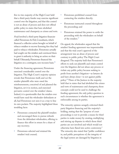five-to-two majority of the High Court held that a third-party funder may exercise significant control over the litigation, and that this control is not an abuse of process and does not offend public policy in states that have abolished maintenance and champerty as crimes and torts.

*Fostif* involved a third-party litigation financier called Firmstones & Feil, Consultants, which financed a collective action brought on behalf of tobacco retailers to recover licensing fees they had paid to tobacco wholesalers. Firmstones actually had sought out the retailers and convinced them to grant it authority to bring an action on their behalf. Ultimately, Firmstones financed the litigation on a contingent, non-recourse basis.<sup>26</sup>

Under the financing agreement, Firmstones exercised considerable control over the litigation. The High Court's majority opinion reveals that Firmstones itself, and *not* the retailer-plaintiffs who were owed the reimbursements, conceived of and planned the litigation, set it in motion, and exercised pervasive control over the retailers' claims. Indeed, it is questionable that the retailers ever would have sued the wholesaler-defendants at all, had Firmstones not seen it as a way to line its own pockets. The majority highlighted these troubling facts:

- Firmstones contacted the plaintiff-retailers and encouraged them to pursue refunds from the defendant-wholesalers, offering to finance this effort in return for a share of any recovery;
- Firmstones selected and retained the retailers' trial counsel;
- Firmstones prohibited counsel from contacting the retailers directly;
- Firmstones instructed counsel throughout the proceeding; and
- Firmstones retained the power to settle the proceeding with the wholesalers on behalf of the retailers.<sup>27</sup>

On appeal, the wholesalers argued that the retailers' funding agreement was impermissible and that the trial court's approval of the arrangement was an abuse of process and contrary to public policy. The High Court disagreed. The majority held that Firmstones's efforts to seek out plaintiffs and retain control over the litigation did not abuse any process or violate any public policy because seeking to profit from another's litigation—as lawyers do and have always done—is not against public policy.28 Three of the Justices in the majority held that in states that had abolished the crimes and torts of maintenance and champerty, those concepts could not be used to challenge the funding agreement; the only policy question in such circumstances is whether the agreement is enforceable among its parties.

The minority opinion savagely criticized thirdparty litigation financing and the majority's holding, stating that the "purpose of court proceedings is not to provide a means for third parties to make money by creating, multiplying and stirring up disputes in which those third parties are not involved and which would not otherwise have flared into active controversy." The minority also stated that "public confidence in, and public perceptions of, the integrity of the legal system are damaged by litigation in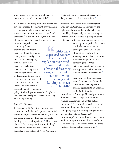which causes of action are treated merely as items to be dealt with commercially."29

At its core, the minority opinion in *Fostif* was a forceful reminder that the third-party financier is a stranger, an "alien" to the traditional adversarial relationship between plaintiff and defendant.<sup>30</sup> But in this respect, the minority ultimately was talking past the majority. The minority complained that

third-party financing presents the evils that the doctrines of maintenance and champerty were designed to prevent. But the majority held that once those doctrines are abolished, whatever practices grow up are no longer considered evil. To frame it in the majority's terms: once maintenance and champerty are abolished as crimes and torts, they no longer should affect a nation's

policy of what litigation *should* be. *Fostif* thus demonstrates the slippery slope of embracing third-party funding.

#### *2. Fostif 's Aftermath*

In the wake of *Fostif*, critics have expressed concern about the lack of regulation over thirdparty funders, the substantial fees they earn, and the unfair manner in which they negotiate funding contracts with plaintiffs.<sup>31</sup> Others have observed that third-party litigation funding has increased the number of class actions in Australia, which, outside of North America, is

Solenzes<br>
Supplement<br>
Solenzes<br>
Solenzes<br>
Solenzes<br>
Solenzes<br>
Solenzes<br>
Solenzes<br>
Solenzes<br>
Solenzes<br>
Solenzes<br>
Solenzes<br>
Solenzes<br>
Solenzes<br>
Solenzes<br>
Solenzes<br>
Solenzes<br>
Solenzes<br>
Solenzes<br>
Solenzes<br>
Solenzes<br>
Solenzes<br> …critics have expressed concern about the lack of regulation over thirdparty funders, the substantial fees they earn, and the unfair manner in which they negotiate funding contracts with plaintiffs "

the jurisdiction where corporations are most likely to have to defend class actions.<sup>32</sup>

Especially since *Fostif*, third-party litigation financiers in Australia generally reserve the right to withdraw funding unilaterally at any time. They also generally require that they be apprised of and consulted regarding proposed settlements, with some companies going so far

> as to require the plaintiff to obtain the funder's consent before settling the case. Funders also often advise the plaintiff on selecting counsel. And, at least one Australian litigation funding company goes so far as to determine case strategies, evaluate and approve key witnesses, and conduct settlement discussions.<sup>33</sup>

As a result of these practices, Australian courts are belatedly considering rules to govern funding agreements. In addition, in 2006, the Standing

Committee of Attorneys-General published a discussion paper on regulating litigation funding in Australia and invited public comment.<sup>34</sup> The Committee's efforts toward recommending a regulatory structure for third-party litigation funding companies are moving slowly. In its March 2008 Communiqué, the Committee reported that a working group is drafting a litigation-funding regulation impact statement that will outline strategies for regulating the industry.<sup>35</sup>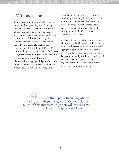## IV. Conclusion

By increasing the funds available to pursue litigation, third-party litigation financing inevitably increases the volume of litigation. Moreover, because third-party financing vitiates traditional safeguards against frivolous claims, much of this increased litigation volume consists of claims of questionable merit. For this reason, lawmakers and regulators should consider prohibiting thirdparty funding in the United States. At the very least, third-party funding should be banned in the context of aggregate litigation. As discussed above, aggregate litigation is already prone to abuse because there is a tremendous amount of money at stake and very little

accountability to the supposed plaintiffs. Combining third-party funding with class and mass actions would exacerbate the risks of such abuse by adding yet another interested party to the mix and further reducing the already minimal role of the claimants themselves in such cases.

So far, third-party litigation funding is not widespread in the United States. If it gains in popularity, however, especially in the area of aggregate litigation, policy-makers should heed Australia's cautionary tale about the dangers presented by third-party funding and consider safeguards against the abusive litigation that will otherwise result if this practice becomes more prevalent.

GC<br>dition<br>of the …because third-party financing vitiates traditional safeguards against frivolous claims, much of this increased litigation volume consists of claims of questionable merit."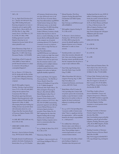#### 1967 c. 58.

- <sup>2</sup> *See, e.g., Anglo-Dutch Petroleum Int'l, Inc. v. Haskell,* 193 S.W.3d 87 (Tex. App. 2006) (holding third-party financing arrangement not usury or champerty, and not against public policy); *Kraft v. Mason*, 668 So. 2d 679 (Fla. Dist. Ct. App. 1996) (same); *Sneed v. Ford Motor Co.*, 735 So. 2d 306, 315 (Miss. 1990) (holding agreement to provide litigation financing was not champertous because funder did not induce plaintiff to sue).
- <sup>3</sup> Joshua Hamerman, *Hedge Funds: A Litigious Bunch*,Investment Dealers' Digest, Dec. 17, 2007, Gale Group Document Number: A172510098.
- Model Rules of Prof'l Conduct, R. 1.8(e) (2009) (a "lawyer shall not provide financial assistance to a client in connection with pending or contemplated litigation").
- <sup>5</sup> *See, e.g., Fausone v. U.S. Claims, Inc.*, 915 So. 2d 626, 629-30 (Fla. 2d Dist. Ct. App. 2005) (affirming arbitration award in favor of litigation-financing company).
- <sup>6</sup> Julia H. McLaughlin, *Litigation Funding: Charting a Legal and Ethical Course*, 31 Vt.L.Rev. 615, 648 (2007) (citing state bar opinions from Connecticut, New York and Pennsylvania approving third-party litigation-financing agreements under limited conditions); Florida State Bar Opinion 00-3 (Mar. 15, 2002) (discouraging third-party funding, but holding attorneys may provide clients with information about it); *see also* Oregon State Bar Association Board of Governors Opinion Number 1993- 133 (Jan. 1993).
- $7$  9-A ME. REV. STAT. ANN. tit. 9-A, §§ 12-104, 12-106.
- <sup>8</sup> OHIO REV. CODE ANN. § 1349.55 (2009).
- <sup>9</sup> *Rancman v. Interim Settlement Funding Corp.*, 789 N.E.2d 217 (Ohio 2003).
- $10$  Examples abound of small businesses pushed to the brink of bankruptcy by lawsuit abuse. See, e.g., U.S. Chamber

of Commerce, *Family business facing more than 100 lawsuits teeters on the brink*,The Faces of Lawsuit Abuse, http://facesoflawsuitabuse.org/2009/04 /family-business-facing-more-than-100-lawsuits-teeters-on-the-brink/ (last visited June 29, 2009) (describing the story of Monroe Rubber & Gasket of Monroe, Louisiana, a family business that may have to close its doors as a result of defending over 100 lawsuits filed by 2,000 plaintiffs related to the company's use of material containing asbestos); U.S. Chamber of Commerce, *Lawsuit over bathroom mirror 2 inches too high*,The Faces of Lawsuit Abuse,

http://facesoflawsuitabuse. org/2009/03/lawsuit-over-bathroommirror-2-inches-too-high/ (last visited June 29, 2009) (telling the story of a restaurant owner who has spent more than the restaurant made in a year defending suit for multiple violations of disabilities regulations when employees replaced bathroom mirror, hanging it two inches too high per applicable disability regulations).

- <sup>11</sup> Susan Lorde Martin,*The Litigation Financing Industry: The Wild West of Finance Should be Tamed Not Outlawed*, 10 Fordham J. Corp. & Fin. L. 55, 77 (2004); Douglas R. Richmond, *Other Peoples' Money: The Ethics of Litigation Financing*, 56 Mercer L. Rev. 649, 661 (2005); Mariel Rodak,*It's About Time: A Systems Thinking Analysis of the Litigation Finance Industry and Its Effects on Settlement*, 155 U. Pa. L. Rev. 503, 518–519 (2006) (summarizing proponents' argument and collecting sources); Michael Herman, *Fear of third party litigation funding is groundless*,Times Online, Oct. 25, 2007 (arguing that the claim that litigation funding will encourage frivolous suits is unfair because litigation funding companies seek to invest in commercial, rather than personal, disputes).
- <sup>12</sup> *See, e.g.*, Rodak,*It's About Time*, 155 U. Pa. L. Rev. at 519.
- <sup>13</sup> Hamerman, *Hedge Funds*.
- <sup>14</sup> *Legal Report—A get out of jail for a fee card?*, Europe Intelligence Wire, at 3 (Mar. 8, 2007).
- <sup>15</sup> Edward Smerdon,*Third Party Litigation Funding*, Reynolds Porter Chamberlain LLP D&O Update, Mar. 2008, http://www.rpc.co.uk/FileServer.aspx? oID=649&lID=0.
- <sup>16</sup> McLaughlin, *Litigation Funding*, 31 Vt. L. Rev. at 621.
- <sup>17</sup> *See Rancman v. Interim Settlement Funding Corp.*, 789 N.E.2d 217, 220- 21 (Ohio 2003) (noting that the amount the plaintiff-appellant owed to litigation financiers was an "absolute disincentive" to settle at a lesser amount).
- Australia provides a case study of where these incentives ultimately will lead: there, some funding companies' financing contracts specifically provide that the companies have the power to accept or reject settlement offers.
- <sup>19</sup> Anne Urda, *Legal Funding Gains Steam But Doubts Linger*,Law360 (Aug. 27, 2008).
- <sup>20</sup> Allianz Deutschland AG,*Risk-free Litigation Financing*, Aug. 17, 2007, http://www.allianz.com /en/press/news/business\_news/insuran ce/news\_2007-08-17.html.
- <sup>21</sup> Model Rules of Prof'l Conduct, R. 5.4(c) (providing that "a lawyer shall not permit a person who recommends, employs, or pays the lawyer to render legal services for another to direct or regulate the lawyer's professional judgment in rendering such legal services").
- <sup>22</sup> *See, e.g., id.*, R. 1.7(a) (providing that a "concurrent conflict of interest exists where""there is a significant risk that the representation…will be materially limited by the lawyer's responsibilities to…a third person").
- It is unlikely that a third-party financier enjoys a joint-defense or common-interest privilege with the client.Those privileges require a common legal interest, not a mere common business interest.
- $24$  A recent study of the effects of thirdparty funding on litigation in Australian states that permit such

funding found that for every AUD 10 million of funding provided by one funder, the number of lawsuits filed for every 100,000 people increased by 16.5%. *See* David Abrams and Daniel L. Chen, *A Market for Justice: The Effect of Litigation Funding on Legal Outcomes* (unpublished article), http://home.uchicago.edu/~dlc/papers /MktJustice.pdf) (last visited September 29, 2009).

- <sup>25</sup> [2006] 229 CLR 386.
- <sup>26</sup> *Id.* at 389-90.
- <sup>27</sup> *Id.* at 390, 413, 424.
- <sup>28</sup> *Id.* at 433-34.
- <sup>29</sup> *Id.* at 488.
- <sup>30</sup> *Id.*
- <sup>31</sup> Stuart Clark and Christina Harris,*The Push to Reform Class Action Procedure in Australia: Evolution or Revolution?*, 32 Melb. U.L. Rev. 775, 810 (2008).
- <sup>32</sup> S. Stuart Clark,*Thinking Locally, Suing Globally: The International Frontiers of Mass Tort Litigation in Australia*, 74 Def. Counsel J. 139, 139-40 (2007); Greg Williams, *Litigation Funding in Australia*, July 28, 2009.
- <sup>33</sup> Vicki Waye,*Conflicts of Interest between Claimholders, Lawyers and Litigation Entrepreneurs*, 19 Bond L. Rev. 223 (2007) (includes an appendix detailing responses of six Australian third-party litigation funding companies to several questions about industry practices).
- Standing Committee of Attorneys-General, *Litigation Funding In Australia*, May 2006, http://www.lawlink.nsw.gov.au/lawlink /legislation\_policy/ll\_lpd.nsf/vwFiles/ Litigation\_Funding\_Discussion\_paper \_May\_06.doc/\$file/Litigation\_Fundin g\_Discussion\_paper\_May\_06.doc.
- Standing Committee of Attorneys-General, *Summary of Decisions* March 2008,Mar. 28, 2008, http://www.scag.gov.au/lawlink/SCA G/ll\_scag.nsf/pages/scag\_meetingoutc omes.